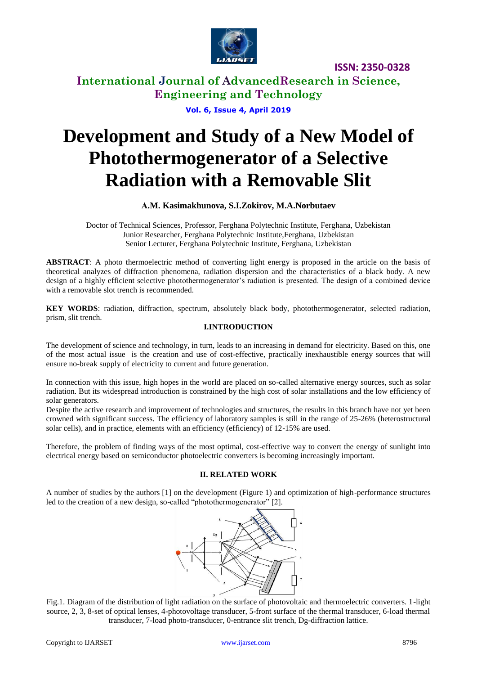

**ISSN: 2350-0328**

**International Journal of AdvancedResearch in Science, Engineering and Technology**

**Vol. 6, Issue 4, April 2019**

# **Development and Study of a New Model of Photothermogenerator of a Selective Radiation with a Removable Slit**

# **А.M. Kasimakhunova, S.I.Zokirov, M.A.Norbutaev**

Doctor of Technical Sciences, Professor, Ferghana Polytechnic Institute, Ferghana, Uzbekistan Junior Researcher, Ferghana Polytechnic Institute,Ferghana, Uzbekistan Senior Lecturer, Ferghana Polytechnic Institute, Ferghana, Uzbekistan

**ABSTRACT**: A photo thermoelectric method of converting light energy is proposed in the article on the basis of theoretical analyzes of diffraction phenomena, radiation dispersion and the characteristics of a black body. A new design of a highly efficient selective photothermogenerator's radiation is presented. The design of a combined device with a removable slot trench is recommended.

**KEY WORDS**: radiation, diffraction, spectrum, absolutely black body, photothermogenerator, selected radiation, prism, slit trench.

# **I.INTRODUCTION**

The development of science and technology, in turn, leads to an increasing in demand for electricity. Based on this, one of the most actual issue is the creation and use of cost-effective, practically inexhaustible energy sources that will ensure no-break supply of electricity to current and future generation.

In connection with this issue, high hopes in the world are placed on so-called alternative energy sources, such as solar radiation. But its widespread introduction is constrained by the high cost of solar installations and the low efficiency of solar generators.

Despite the active research and improvement of technologies and structures, the results in this branch have not yet been crowned with significant success. The efficiency of laboratory samples is still in the range of 25-26% (heterostructural solar cells), and in practice, elements with an efficiency (efficiency) of 12-15% are used.

Therefore, the problem of finding ways of the most optimal, cost-effective way to convert the energy of sunlight into electrical energy based on semiconductor photoelectric converters is becoming increasingly important.

## **II. RELATED WORK**

A number of studies by the authors [1] on the development (Figure 1) and optimization of high-performance structures led to the creation of a new design, so-called "photothermogenerator" [2].



Fig.1. Diagram of the distribution of light radiation on the surface of photovoltaic and thermoelectric converters. 1-light source, 2, 3, 8-set of optical lenses, 4-photovoltage transducer, 5-front surface of the thermal transducer, 6-load thermal transducer, 7-load photo-transducer, 0-entrance slit trench, Dg-diffraction lattice.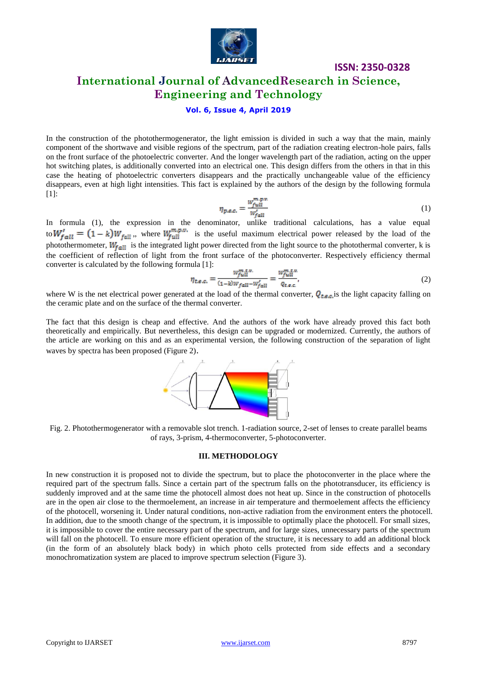

# **ISSN: 2350-0328**

# **International Journal of AdvancedResearch in Science, Engineering and Technology**

### **Vol. 6, Issue 4, April 2019**

In the construction of the photothermogenerator, the light emission is divided in such a way that the main, mainly component of the shortwave and visible regions of the spectrum, part of the radiation creating electron-hole pairs, falls on the front surface of the photoelectric converter. And the longer wavelength part of the radiation, acting on the upper hot switching plates, is additionally converted into an electrical one. This design differs from the others in that in this case the heating of photoelectric converters disappears and the practically unchangeable value of the efficiency disappears, even at high light intensities. This fact is explained by the authors of the design by the following formula [1]:

$$
\eta_{p,e,c.} = \frac{w_{full}^{m,p,v}}{w_{full}^t} \tag{1}
$$

In formula (1), the expression in the denominator, unlike traditional calculations, has a value equal to  $W_{\rm fall} = (1 - k)W_{\rm fall}$ , where  $W_{\rm full}^{\rm high}$  is the useful maximum electrical power released by the load of the photothermometer,  $W_{fall}$  is the integrated light power directed from the light source to the photothermal converter, k is the coefficient of reflection of light from the front surface of the photoconverter. Respectively efficiency thermal converter is calculated by the following formula [1]:

$$
\eta_{t,e,c.} = \frac{w_{full}^{m,t,v}}{(1-k)w_{fall} - w_{fall}'} = \frac{w_{full}^{m,t,v}}{q_{t,e,c}},
$$
(2)

where W is the net electrical power generated at the load of the thermal converter,  $Q_{\text{tan}}$  is the light capacity falling on the ceramic plate and on the surface of the thermal converter.

The fact that this design is cheap and effective. And the authors of the work have already proved this fact both theoretically and empirically. But nevertheless, this design can be upgraded or modernized. Currently, the authors of the article are working on this and as an experimental version, the following construction of the separation of light waves by spectra has been proposed (Figure 2).



Fig. 2. Photothermogenerator with a removable slot trench. 1-radiation source, 2-set of lenses to create parallel beams of rays, 3-prism, 4-thermoconverter, 5-photoconverter.

#### **III. METHODOLOGY**

In new construction it is proposed not to divide the spectrum, but to place the photoconverter in the place where the required part of the spectrum falls. Since a certain part of the spectrum falls on the phototransducer, its efficiency is suddenly improved and at the same time the photocell almost does not heat up. Since in the construction of photocells are in the open air close to the thermoelement, an increase in air temperature and thermoelement affects the efficiency of the photocell, worsening it. Under natural conditions, non-active radiation from the environment enters the photocell. In addition, due to the smooth change of the spectrum, it is impossible to optimally place the photocell. For small sizes, it is impossible to cover the entire necessary part of the spectrum, and for large sizes, unnecessary parts of the spectrum will fall on the photocell. To ensure more efficient operation of the structure, it is necessary to add an additional block (in the form of an absolutely black body) in which photo cells protected from side effects and a secondary monochromatization system are placed to improve spectrum selection (Figure 3).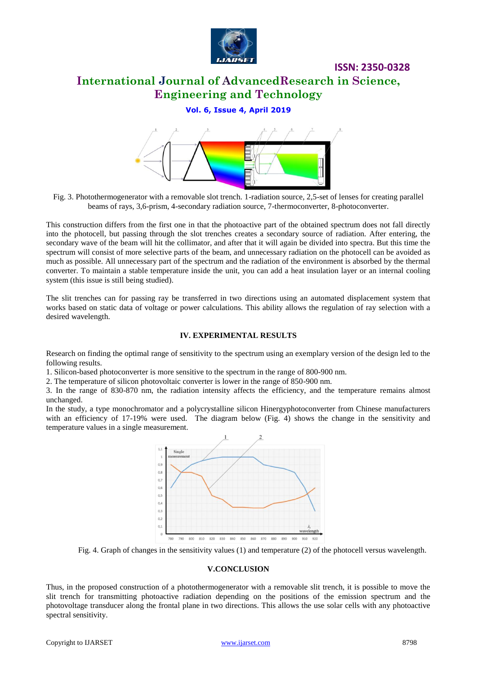

**ISSN: 2350-0328**

# **International Journal of AdvancedResearch in Science, Engineering and Technology**

# **Vol. 6, Issue 4, April 2019**



Fig. 3. Photothermogenerator with a removable slot trench. 1-radiation source, 2,5-set of lenses for creating parallel beams of rays, 3,6-prism, 4-secondary radiation source, 7-thermoconverter, 8-photoconverter.

This construction differs from the first one in that the photoactive part of the obtained spectrum does not fall directly into the photocell, but passing through the slot trenches creates a secondary source of radiation. After entering, the secondary wave of the beam will hit the collimator, and after that it will again be divided into spectra. But this time the spectrum will consist of more selective parts of the beam, and unnecessary radiation on the photocell can be avoided as much as possible. All unnecessary part of the spectrum and the radiation of the environment is absorbed by the thermal converter. To maintain a stable temperature inside the unit, you can add a heat insulation layer or an internal cooling system (this issue is still being studied).

The slit trenches can for passing ray be transferred in two directions using an automated displacement system that works based on static data of voltage or power calculations. This ability allows the regulation of ray selection with a desired wavelength.

## **IV. EXPERIMENTAL RESULTS**

Research on finding the optimal range of sensitivity to the spectrum using an exemplary version of the design led to the following results.

1. Silicon-based photoconverter is more sensitive to the spectrum in the range of 800-900 nm.

2. The temperature of silicon photovoltaic converter is lower in the range of 850-900 nm.

3. In the range of 830-870 nm, the radiation intensity affects the efficiency, and the temperature remains almost unchanged.

In the study, a type monochromator and a polycrystalline silicon Hinergyphotoconverter from Chinese manufacturers with an efficiency of 17-19% were used. The diagram below (Fig. 4) shows the change in the sensitivity and temperature values in a single measurement.



Fig. 4. Graph of changes in the sensitivity values (1) and temperature (2) of the photocell versus wavelength.

## **V.CONCLUSION**

Thus, in the proposed construction of a photothermogenerator with a removable slit trench, it is possible to move the slit trench for transmitting photoactive radiation depending on the positions of the emission spectrum and the photovoltage transducer along the frontal plane in two directions. This allows the use solar cells with any photoactive spectral sensitivity.